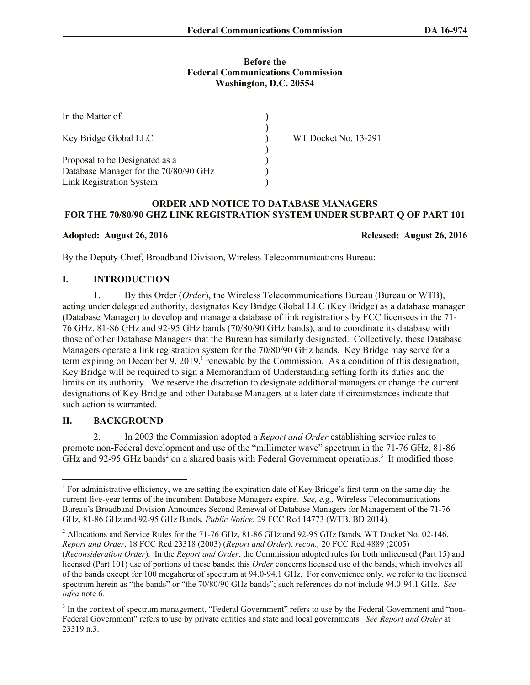### **Before the Federal Communications Commission Washington, D.C. 20554**

| In the Matter of                      |                      |  |
|---------------------------------------|----------------------|--|
| Key Bridge Global LLC                 | WT Docket No. 13-291 |  |
| Proposal to be Designated as a        |                      |  |
| Database Manager for the 70/80/90 GHz |                      |  |
| <b>Link Registration System</b>       |                      |  |

### **ORDER AND NOTICE TO DATABASE MANAGERS FOR THE 70/80/90 GHZ LINK REGISTRATION SYSTEM UNDER SUBPART Q OF PART 101**

**Adopted: August 26, 2016 Released: August 26, 2016**

By the Deputy Chief, Broadband Division, Wireless Telecommunications Bureau:

# **I. INTRODUCTION**

1. By this Order (*Order*), the Wireless Telecommunications Bureau (Bureau or WTB), acting under delegated authority, designates Key Bridge Global LLC (Key Bridge) as a database manager (Database Manager) to develop and manage a database of link registrations by FCC licensees in the 71- 76 GHz, 81-86 GHz and 92-95 GHz bands (70/80/90 GHz bands), and to coordinate its database with those of other Database Managers that the Bureau has similarly designated. Collectively, these Database Managers operate a link registration system for the 70/80/90 GHz bands. Key Bridge may serve for a term expiring on December 9, 2019,<sup>1</sup> renewable by the Commission. As a condition of this designation, Key Bridge will be required to sign a Memorandum of Understanding setting forth its duties and the limits on its authority. We reserve the discretion to designate additional managers or change the current designations of Key Bridge and other Database Managers at a later date if circumstances indicate that such action is warranted.

# **II. BACKGROUND**

 $\overline{\phantom{a}}$ 

2. In 2003 the Commission adopted a *Report and Order* establishing service rules to promote non-Federal development and use of the "millimeter wave" spectrum in the 71-76 GHz, 81-86 GHz and 92-95 GHz bands<sup>2</sup> on a shared basis with Federal Government operations.<sup>3</sup> It modified those

<sup>&</sup>lt;sup>1</sup> For administrative efficiency, we are setting the expiration date of Key Bridge's first term on the same day the current five-year terms of the incumbent Database Managers expire. *See, e.g.,* Wireless Telecommunications Bureau's Broadband Division Announces Second Renewal of Database Managers for Management of the 71-76 GHz, 81-86 GHz and 92-95 GHz Bands, *Public Notice*, 29 FCC Rcd 14773 (WTB, BD 2014).

<sup>&</sup>lt;sup>2</sup> Allocations and Service Rules for the 71-76 GHz, 81-86 GHz and 92-95 GHz Bands, WT Docket No. 02-146, *Report and Order*, 18 FCC Rcd 23318 (2003) (*Report and Order*), *recon.,* 20 FCC Rcd 4889 (2005) (*Reconsideration Order*). In the *Report and Order*, the Commission adopted rules for both unlicensed (Part 15) and licensed (Part 101) use of portions of these bands; this *Order* concerns licensed use of the bands, which involves all of the bands except for 100 megahertz of spectrum at 94.0-94.1 GHz. For convenience only, we refer to the licensed spectrum herein as "the bands" or "the 70/80/90 GHz bands"; such references do not include 94.0-94.1 GHz. *See infra* note 6.

<sup>&</sup>lt;sup>3</sup> In the context of spectrum management, "Federal Government" refers to use by the Federal Government and "non-Federal Government" refers to use by private entities and state and local governments. *See Report and Order* at 23319 n.3.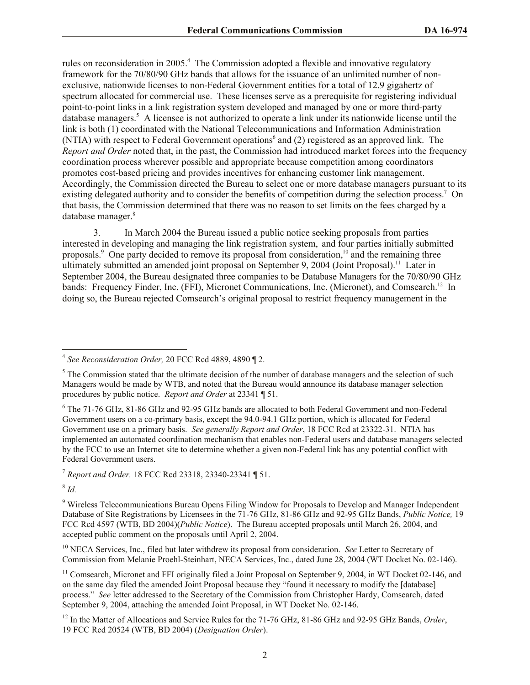rules on reconsideration in 2005.<sup>4</sup> The Commission adopted a flexible and innovative regulatory framework for the 70/80/90 GHz bands that allows for the issuance of an unlimited number of nonexclusive, nationwide licenses to non-Federal Government entities for a total of 12.9 gigahertz of spectrum allocated for commercial use. These licenses serve as a prerequisite for registering individual point-to-point links in a link registration system developed and managed by one or more third-party database managers.<sup>5</sup> A licensee is not authorized to operate a link under its nationwide license until the link is both (1) coordinated with the National Telecommunications and Information Administration (NTIA) with respect to Federal Government operations<sup>6</sup> and (2) registered as an approved link. The *Report and Order* noted that, in the past, the Commission had introduced market forces into the frequency coordination process wherever possible and appropriate because competition among coordinators promotes cost-based pricing and provides incentives for enhancing customer link management. Accordingly, the Commission directed the Bureau to select one or more database managers pursuant to its existing delegated authority and to consider the benefits of competition during the selection process.<sup>7</sup> On that basis, the Commission determined that there was no reason to set limits on the fees charged by a database manager.<sup>8</sup>

3. In March 2004 the Bureau issued a public notice seeking proposals from parties interested in developing and managing the link registration system, and four parties initially submitted proposals.<sup>9</sup> One party decided to remove its proposal from consideration,<sup>10</sup> and the remaining three ultimately submitted an amended joint proposal on September 9, 2004 (Joint Proposal).<sup>11</sup> Later in September 2004, the Bureau designated three companies to be Database Managers for the 70/80/90 GHz bands: Frequency Finder, Inc. (FFI), Micronet Communications, Inc. (Micronet), and Comsearch.<sup>12</sup> In doing so, the Bureau rejected Comsearch's original proposal to restrict frequency management in the

<sup>7</sup> *Report and Order,* 18 FCC Rcd 23318, 23340-23341 ¶ 51.

8 *Id.* 

 $\overline{\phantom{a}}$ 

<sup>10</sup> NECA Services, Inc., filed but later withdrew its proposal from consideration. *See* Letter to Secretary of Commission from Melanie Proehl-Steinhart, NECA Services, Inc., dated June 28, 2004 (WT Docket No. 02-146).

<sup>4</sup> *See Reconsideration Order,* 20 FCC Rcd 4889, 4890 ¶ 2.

 $<sup>5</sup>$  The Commission stated that the ultimate decision of the number of database managers and the selection of such</sup> Managers would be made by WTB, and noted that the Bureau would announce its database manager selection procedures by public notice. *Report and Order* at 23341 ¶ 51.

<sup>6</sup> The 71-76 GHz, 81-86 GHz and 92-95 GHz bands are allocated to both Federal Government and non-Federal Government users on a co-primary basis, except the 94.0-94.1 GHz portion, which is allocated for Federal Government use on a primary basis. *See generally Report and Order*, 18 FCC Rcd at 23322-31. NTIA has implemented an automated coordination mechanism that enables non-Federal users and database managers selected by the FCC to use an Internet site to determine whether a given non-Federal link has any potential conflict with Federal Government users.

<sup>9</sup> Wireless Telecommunications Bureau Opens Filing Window for Proposals to Develop and Manager Independent Database of Site Registrations by Licensees in the 71-76 GHz, 81-86 GHz and 92-95 GHz Bands, *Public Notice,* 19 FCC Rcd 4597 (WTB, BD 2004)(*Public Notice*). The Bureau accepted proposals until March 26, 2004, and accepted public comment on the proposals until April 2, 2004.

<sup>&</sup>lt;sup>11</sup> Comsearch, Micronet and FFI originally filed a Joint Proposal on September 9, 2004, in WT Docket 02-146, and on the same day filed the amended Joint Proposal because they "found it necessary to modify the [database] process." *See* letter addressed to the Secretary of the Commission from Christopher Hardy, Comsearch, dated September 9, 2004, attaching the amended Joint Proposal, in WT Docket No. 02-146.

<sup>&</sup>lt;sup>12</sup> In the Matter of Allocations and Service Rules for the 71-76 GHz, 81-86 GHz and 92-95 GHz Bands, *Order*, 19 FCC Rcd 20524 (WTB, BD 2004) (*Designation Order*).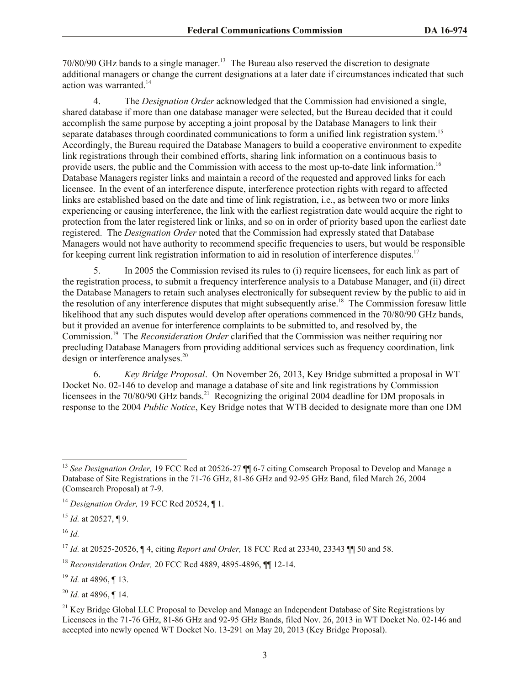70/80/90 GHz bands to a single manager. 13 The Bureau also reserved the discretion to designate additional managers or change the current designations at a later date if circumstances indicated that such action was warranted.<sup>14</sup>

4. The *Designation Order* acknowledged that the Commission had envisioned a single, shared database if more than one database manager were selected, but the Bureau decided that it could accomplish the same purpose by accepting a joint proposal by the Database Managers to link their separate databases through coordinated communications to form a unified link registration system.<sup>15</sup> Accordingly, the Bureau required the Database Managers to build a cooperative environment to expedite link registrations through their combined efforts, sharing link information on a continuous basis to provide users, the public and the Commission with access to the most up-to-date link information.<sup>16</sup> Database Managers register links and maintain a record of the requested and approved links for each licensee. In the event of an interference dispute, interference protection rights with regard to affected links are established based on the date and time of link registration, i.e., as between two or more links experiencing or causing interference, the link with the earliest registration date would acquire the right to protection from the later registered link or links, and so on in order of priority based upon the earliest date registered. The *Designation Order* noted that the Commission had expressly stated that Database Managers would not have authority to recommend specific frequencies to users, but would be responsible for keeping current link registration information to aid in resolution of interference disputes.<sup>17</sup>

5. In 2005 the Commission revised its rules to (i) require licensees, for each link as part of the registration process, to submit a frequency interference analysis to a Database Manager, and (ii) direct the Database Managers to retain such analyses electronically for subsequent review by the public to aid in the resolution of any interference disputes that might subsequently arise.<sup>18</sup> The Commission foresaw little likelihood that any such disputes would develop after operations commenced in the 70/80/90 GHz bands, but it provided an avenue for interference complaints to be submitted to, and resolved by, the Commission.<sup>19</sup> The *Reconsideration Order* clarified that the Commission was neither requiring nor precluding Database Managers from providing additional services such as frequency coordination, link design or interference analyses.<sup>20</sup>

6. *Key Bridge Proposal*. On November 26, 2013, Key Bridge submitted a proposal in WT Docket No. 02-146 to develop and manage a database of site and link registrations by Commission licensees in the 70/80/90 GHz bands.<sup>21</sup> Recognizing the original 2004 deadline for DM proposals in response to the 2004 *Public Notice*, Key Bridge notes that WTB decided to designate more than one DM

<sup>16</sup> *Id.*

 $\overline{a}$ 

<sup>&</sup>lt;sup>13</sup> See Designation Order, 19 FCC Rcd at 20526-27  $\P$  6-7 citing Comsearch Proposal to Develop and Manage a Database of Site Registrations in the 71-76 GHz, 81-86 GHz and 92-95 GHz Band, filed March 26, 2004 (Comsearch Proposal) at 7-9.

<sup>14</sup> *Designation Order,* 19 FCC Rcd 20524, ¶ 1.

<sup>15</sup> *Id.* at 20527, ¶ 9.

<sup>17</sup> *Id.* at 20525-20526, ¶ 4, citing *Report and Order,* 18 FCC Rcd at 23340, 23343 ¶¶ 50 and 58.

<sup>18</sup> *Reconsideration Order,* 20 FCC Rcd 4889, 4895-4896, ¶¶ 12-14.

<sup>19</sup> *Id.* at 4896, ¶ 13.

<sup>20</sup> *Id.* at 4896, ¶ 14.

 $21$  Key Bridge Global LLC Proposal to Develop and Manage an Independent Database of Site Registrations by Licensees in the 71-76 GHz, 81-86 GHz and 92-95 GHz Bands, filed Nov. 26, 2013 in WT Docket No. 02-146 and accepted into newly opened WT Docket No. 13-291 on May 20, 2013 (Key Bridge Proposal).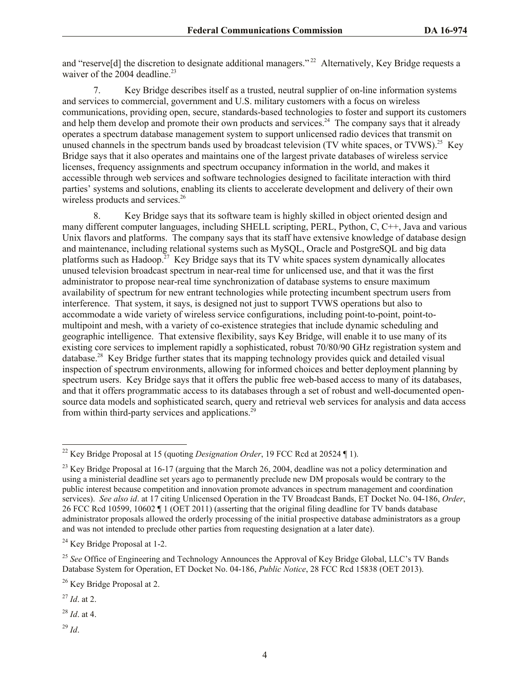and "reserve<sup>[d]</sup> the discretion to designate additional managers."<sup>22</sup> Alternatively, Key Bridge requests a waiver of the  $2004$  deadline.<sup>23</sup>

7. Key Bridge describes itself as a trusted, neutral supplier of on-line information systems and services to commercial, government and U.S. military customers with a focus on wireless communications, providing open, secure, standards-based technologies to foster and support its customers and help them develop and promote their own products and services.<sup>24</sup> The company says that it already operates a spectrum database management system to support unlicensed radio devices that transmit on unused channels in the spectrum bands used by broadcast television (TV white spaces, or TVWS).<sup>25</sup> Key Bridge says that it also operates and maintains one of the largest private databases of wireless service licenses, frequency assignments and spectrum occupancy information in the world, and makes it accessible through web services and software technologies designed to facilitate interaction with third parties' systems and solutions, enabling its clients to accelerate development and delivery of their own wireless products and services.<sup>26</sup>

8. Key Bridge says that its software team is highly skilled in object oriented design and many different computer languages, including SHELL scripting, PERL, Python, C, C++, Java and various Unix flavors and platforms. The company says that its staff have extensive knowledge of database design and maintenance, including relational systems such as MySQL, Oracle and PostgreSQL and big data platforms such as Hadoop.<sup>27</sup> Key Bridge says that its TV white spaces system dynamically allocates unused television broadcast spectrum in near-real time for unlicensed use, and that it was the first administrator to propose near-real time synchronization of database systems to ensure maximum availability of spectrum for new entrant technologies while protecting incumbent spectrum users from interference. That system, it says, is designed not just to support TVWS operations but also to accommodate a wide variety of wireless service configurations, including point-to-point, point-tomultipoint and mesh, with a variety of co-existence strategies that include dynamic scheduling and geographic intelligence. That extensive flexibility, says Key Bridge, will enable it to use many of its existing core services to implement rapidly a sophisticated, robust 70/80/90 GHz registration system and database.<sup>28</sup> Key Bridge further states that its mapping technology provides quick and detailed visual inspection of spectrum environments, allowing for informed choices and better deployment planning by spectrum users. Key Bridge says that it offers the public free web-based access to many of its databases, and that it offers programmatic access to its databases through a set of robust and well-documented opensource data models and sophisticated search, query and retrieval web services for analysis and data access from within third-party services and applications.<sup>29</sup>

<sup>24</sup> Key Bridge Proposal at 1-2.

<sup>29</sup> *Id*.

 $\overline{\phantom{a}}$ <sup>22</sup> Key Bridge Proposal at 15 (quoting *Designation Order*, 19 FCC Rcd at 20524 ¶ 1).

 $^{23}$  Key Bridge Proposal at 16-17 (arguing that the March 26, 2004, deadline was not a policy determination and using a ministerial deadline set years ago to permanently preclude new DM proposals would be contrary to the public interest because competition and innovation promote advances in spectrum management and coordination services). *See also id*. at 17 citing Unlicensed Operation in the TV Broadcast Bands, ET Docket No. 04-186, *Order*, 26 FCC Rcd 10599, 10602 ¶ 1 (OET 2011) (asserting that the original filing deadline for TV bands database administrator proposals allowed the orderly processing of the initial prospective database administrators as a group and was not intended to preclude other parties from requesting designation at a later date).

<sup>&</sup>lt;sup>25</sup> See Office of Engineering and Technology Announces the Approval of Key Bridge Global, LLC's TV Bands Database System for Operation, ET Docket No. 04-186, *Public Notice*, 28 FCC Rcd 15838 (OET 2013).

<sup>&</sup>lt;sup>26</sup> Key Bridge Proposal at 2.

<sup>27</sup> *Id*. at 2.

<sup>28</sup> *Id*. at 4.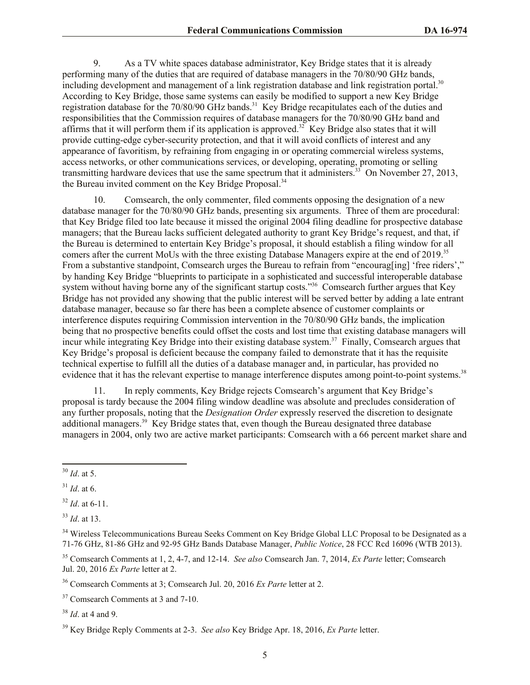9. As a TV white spaces database administrator, Key Bridge states that it is already performing many of the duties that are required of database managers in the 70/80/90 GHz bands, including development and management of a link registration database and link registration portal.<sup>30</sup> According to Key Bridge, those same systems can easily be modified to support a new Key Bridge registration database for the 70/80/90 GHz bands.<sup>31</sup> Key Bridge recapitulates each of the duties and responsibilities that the Commission requires of database managers for the 70/80/90 GHz band and affirms that it will perform them if its application is approved.<sup>32</sup> Key Bridge also states that it will provide cutting-edge cyber-security protection, and that it will avoid conflicts of interest and any appearance of favoritism, by refraining from engaging in or operating commercial wireless systems, access networks, or other communications services, or developing, operating, promoting or selling transmitting hardware devices that use the same spectrum that it administers.<sup>33</sup> On November 27, 2013, the Bureau invited comment on the Key Bridge Proposal.<sup>34</sup>

10. Comsearch, the only commenter, filed comments opposing the designation of a new database manager for the 70/80/90 GHz bands, presenting six arguments. Three of them are procedural: that Key Bridge filed too late because it missed the original 2004 filing deadline for prospective database managers; that the Bureau lacks sufficient delegated authority to grant Key Bridge's request, and that, if the Bureau is determined to entertain Key Bridge's proposal, it should establish a filing window for all comers after the current MoUs with the three existing Database Managers expire at the end of 2019. 35 From a substantive standpoint, Comsearch urges the Bureau to refrain from "encourag[ing] 'free riders'," by handing Key Bridge "blueprints to participate in a sophisticated and successful interoperable database system without having borne any of the significant startup costs."<sup>36</sup> Comsearch further argues that Key Bridge has not provided any showing that the public interest will be served better by adding a late entrant database manager, because so far there has been a complete absence of customer complaints or interference disputes requiring Commission intervention in the 70/80/90 GHz bands, the implication being that no prospective benefits could offset the costs and lost time that existing database managers will incur while integrating Key Bridge into their existing database system.<sup>37</sup> Finally, Comsearch argues that Key Bridge's proposal is deficient because the company failed to demonstrate that it has the requisite technical expertise to fulfill all the duties of a database manager and, in particular, has provided no evidence that it has the relevant expertise to manage interference disputes among point-to-point systems.<sup>38</sup>

11. In reply comments, Key Bridge rejects Comsearch's argument that Key Bridge's proposal is tardy because the 2004 filing window deadline was absolute and precludes consideration of any further proposals, noting that the *Designation Order* expressly reserved the discretion to designate additional managers.<sup>39</sup> Key Bridge states that, even though the Bureau designated three database managers in 2004, only two are active market participants: Comsearch with a 66 percent market share and

 $\overline{\phantom{a}}$ 

<sup>33</sup> *Id*. at 13.

<sup>35</sup> Comsearch Comments at 1, 2, 4-7, and 12-14. *See also* Comsearch Jan. 7, 2014, *Ex Parte* letter; Comsearch Jul. 20, 2016 *Ex Parte* letter at 2.

<sup>30</sup> *Id*. at 5.

 $31$  *Id.* at 6.

<sup>32</sup> *Id*. at 6-11.

<sup>&</sup>lt;sup>34</sup> Wireless Telecommunications Bureau Seeks Comment on Key Bridge Global LLC Proposal to be Designated as a 71-76 GHz, 81-86 GHz and 92-95 GHz Bands Database Manager, *Public Notice*, 28 FCC Rcd 16096 (WTB 2013).

<sup>36</sup> Comsearch Comments at 3; Comsearch Jul. 20, 2016 *Ex Parte* letter at 2.

<sup>&</sup>lt;sup>37</sup> Comsearch Comments at 3 and 7-10.

<sup>38</sup> *Id*. at 4 and 9.

<sup>39</sup> Key Bridge Reply Comments at 2-3. *See also* Key Bridge Apr. 18, 2016, *Ex Parte* letter.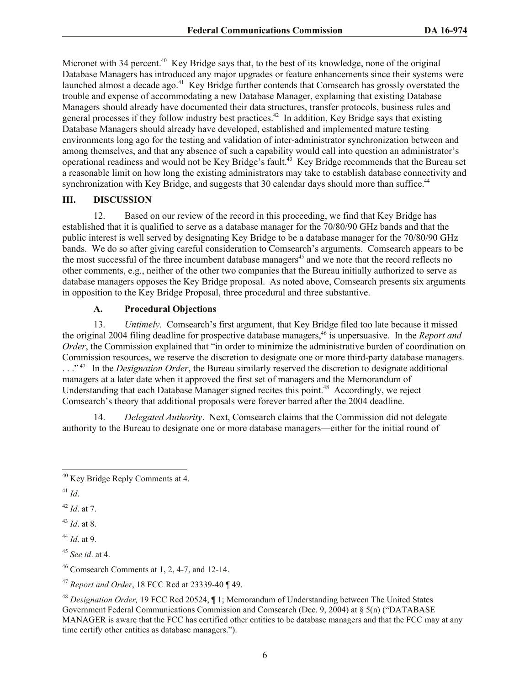Micronet with 34 percent.<sup>40</sup> Key Bridge says that, to the best of its knowledge, none of the original Database Managers has introduced any major upgrades or feature enhancements since their systems were launched almost a decade ago.<sup>41</sup> Key Bridge further contends that Comsearch has grossly overstated the trouble and expense of accommodating a new Database Manager, explaining that existing Database Managers should already have documented their data structures, transfer protocols, business rules and general processes if they follow industry best practices.<sup>42</sup> In addition, Key Bridge says that existing Database Managers should already have developed, established and implemented mature testing environments long ago for the testing and validation of inter-administrator synchronization between and among themselves, and that any absence of such a capability would call into question an administrator's operational readiness and would not be Key Bridge's fault.<sup>43</sup> Key Bridge recommends that the Bureau set a reasonable limit on how long the existing administrators may take to establish database connectivity and synchronization with Key Bridge, and suggests that 30 calendar days should more than suffice.<sup>44</sup>

## **III. DISCUSSION**

12. Based on our review of the record in this proceeding, we find that Key Bridge has established that it is qualified to serve as a database manager for the 70/80/90 GHz bands and that the public interest is well served by designating Key Bridge to be a database manager for the 70/80/90 GHz bands. We do so after giving careful consideration to Comsearch's arguments. Comsearch appears to be the most successful of the three incumbent database managers<sup>45</sup> and we note that the record reflects no other comments, e.g., neither of the other two companies that the Bureau initially authorized to serve as database managers opposes the Key Bridge proposal. As noted above, Comsearch presents six arguments in opposition to the Key Bridge Proposal, three procedural and three substantive.

## **A. Procedural Objections**

13. *Untimely.* Comsearch's first argument, that Key Bridge filed too late because it missed the original 2004 filing deadline for prospective database managers, <sup>46</sup> is unpersuasive. In the *Report and Order*, the Commission explained that "in order to minimize the administrative burden of coordination on Commission resources, we reserve the discretion to designate one or more third-party database managers. . . .<sup>"47</sup> In the *Designation Order*, the Bureau similarly reserved the discretion to designate additional managers at a later date when it approved the first set of managers and the Memorandum of Understanding that each Database Manager signed recites this point.<sup>48</sup> Accordingly, we reject Comsearch's theory that additional proposals were forever barred after the 2004 deadline.

14. *Delegated Authority*. Next, Comsearch claims that the Commission did not delegate authority to the Bureau to designate one or more database managers—either for the initial round of

<sup>42</sup> *Id*. at 7.

<sup>43</sup> *Id*. at 8.

<sup>44</sup> *Id*. at 9.

 $46$  Comsearch Comments at 1, 2, 4-7, and 12-14.

<sup>47</sup> *Report and Order*, 18 FCC Rcd at 23339-40 ¶ 49.

 $\overline{\phantom{a}}$ <sup>40</sup> Key Bridge Reply Comments at 4.

<sup>41</sup> *Id*.

<sup>45</sup> *See id*. at 4.

<sup>48</sup> *Designation Order,* 19 FCC Rcd 20524, ¶ 1; Memorandum of Understanding between The United States Government Federal Communications Commission and Comsearch (Dec. 9, 2004) at § 5(n) ("DATABASE MANAGER is aware that the FCC has certified other entities to be database managers and that the FCC may at any time certify other entities as database managers.").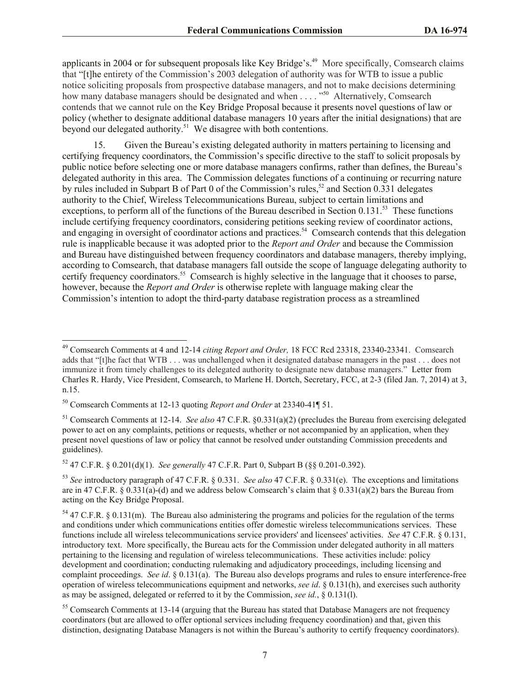applicants in 2004 or for subsequent proposals like Key Bridge's.<sup>49</sup> More specifically, Comsearch claims that "[t]he entirety of the Commission's 2003 delegation of authority was for WTB to issue a public notice soliciting proposals from prospective database managers, and not to make decisions determining how many database managers should be designated and when . . . . "<sup>50</sup> Alternatively, Comsearch contends that we cannot rule on the Key Bridge Proposal because it presents novel questions of law or policy (whether to designate additional database managers 10 years after the initial designations) that are beyond our delegated authority.<sup>51</sup> We disagree with both contentions.

15. Given the Bureau's existing delegated authority in matters pertaining to licensing and certifying frequency coordinators, the Commission's specific directive to the staff to solicit proposals by public notice before selecting one or more database managers confirms, rather than defines, the Bureau's delegated authority in this area. The Commission delegates functions of a continuing or recurring nature by rules included in Subpart B of Part 0 of the Commission's rules,<sup>52</sup> and Section 0.331 delegates authority to the Chief, Wireless Telecommunications Bureau, subject to certain limitations and exceptions, to perform all of the functions of the Bureau described in Section 0.131.<sup>53</sup> These functions include certifying frequency coordinators, considering petitions seeking review of coordinator actions, and engaging in oversight of coordinator actions and practices.<sup>54</sup> Comsearch contends that this delegation rule is inapplicable because it was adopted prior to the *Report and Order* and because the Commission and Bureau have distinguished between frequency coordinators and database managers, thereby implying, according to Comsearch, that database managers fall outside the scope of language delegating authority to certify frequency coordinators. <sup>55</sup> Comsearch is highly selective in the language that it chooses to parse, however, because the *Report and Order* is otherwise replete with language making clear the Commission's intention to adopt the third-party database registration process as a streamlined

 $\overline{a}$ 

<sup>49</sup> Comsearch Comments at 4 and 12-14 *citing Report and Order,* 18 FCC Rcd 23318, 23340-23341. Comsearch adds that "[t]he fact that WTB . . . was unchallenged when it designated database managers in the past . . . does not immunize it from timely challenges to its delegated authority to designate new database managers." Letter from Charles R. Hardy, Vice President, Comsearch, to Marlene H. Dortch, Secretary, FCC, at 2-3 (filed Jan. 7, 2014) at 3, n.15.

<sup>50</sup> Comsearch Comments at 12-13 quoting *Report and Order* at 23340-41¶ 51.

<sup>51</sup> Comsearch Comments at 12-14. *See also* 47 C.F.R. §0.331(a)(2) (precludes the Bureau from exercising delegated power to act on any complaints, petitions or requests, whether or not accompanied by an application, when they present novel questions of law or policy that cannot be resolved under outstanding Commission precedents and guidelines).

<sup>52</sup> 47 C.F.R. § 0.201(d)(1). *See generally* 47 C.F.R. Part 0, Subpart B (§§ 0.201-0.392).

<sup>53</sup> *See* introductory paragraph of 47 C.F.R. § 0.331. *See also* 47 C.F.R. § 0.331(e). The exceptions and limitations are in 47 C.F.R. § 0.331(a)-(d) and we address below Comsearch's claim that § 0.331(a)(2) bars the Bureau from acting on the Key Bridge Proposal.

 $54$  47 C.F.R. § 0.131(m). The Bureau also administering the programs and policies for the regulation of the terms and conditions under which communications entities offer domestic wireless telecommunications services. These functions include all wireless telecommunications service providers' and licensees' activities. *See* 47 C.F.R. § 0.131, introductory text. More specifically, the Bureau acts for the Commission under delegated authority in all matters pertaining to the licensing and regulation of wireless telecommunications. These activities include: policy development and coordination; conducting rulemaking and adjudicatory proceedings, including licensing and complaint proceedings. *See id*. § 0.131(a). The Bureau also develops programs and rules to ensure interference-free operation of wireless telecommunications equipment and networks, *see id*. § 0.131(h), and exercises such authority as may be assigned, delegated or referred to it by the Commission, *see id.*, § 0.131(l).

<sup>&</sup>lt;sup>55</sup> Comsearch Comments at 13-14 (arguing that the Bureau has stated that Database Managers are not frequency coordinators (but are allowed to offer optional services including frequency coordination) and that, given this distinction, designating Database Managers is not within the Bureau's authority to certify frequency coordinators).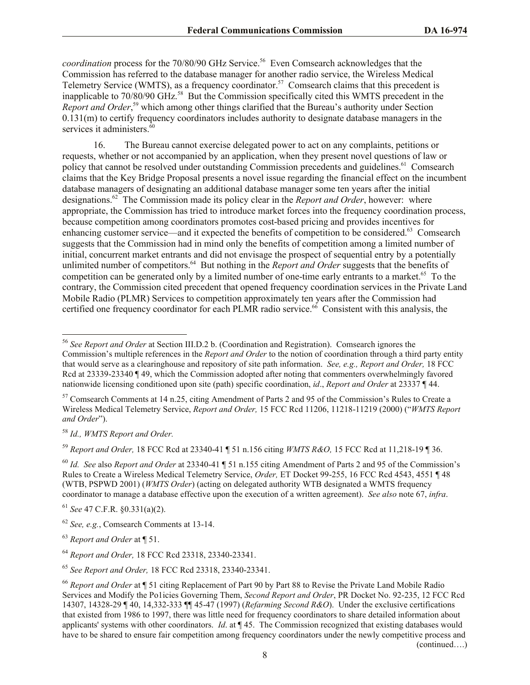*coordination* process for the 70/80/90 GHz Service. <sup>56</sup> Even Comsearch acknowledges that the Commission has referred to the database manager for another radio service, the Wireless Medical Telemetry Service (WMTS), as a frequency coordinator.<sup>57</sup> Comsearch claims that this precedent is inapplicable to 70/80/90 GHz. 58 But the Commission specifically cited this WMTS precedent in the *Report and Order*, <sup>59</sup> which among other things clarified that the Bureau's authority under Section 0.131(m) to certify frequency coordinators includes authority to designate database managers in the services it administers.<sup>60</sup>

16. The Bureau cannot exercise delegated power to act on any complaints, petitions or requests, whether or not accompanied by an application, when they present novel questions of law or policy that cannot be resolved under outstanding Commission precedents and guidelines.<sup>61</sup> Comsearch claims that the Key Bridge Proposal presents a novel issue regarding the financial effect on the incumbent database managers of designating an additional database manager some ten years after the initial designations.<sup>62</sup> The Commission made its policy clear in the *Report and Order*, however: where appropriate, the Commission has tried to introduce market forces into the frequency coordination process, because competition among coordinators promotes cost-based pricing and provides incentives for enhancing customer service—and it expected the benefits of competition to be considered.<sup>63</sup> Comsearch suggests that the Commission had in mind only the benefits of competition among a limited number of initial, concurrent market entrants and did not envisage the prospect of sequential entry by a potentially unlimited number of competitors.<sup>64</sup> But nothing in the *Report and Order* suggests that the benefits of competition can be generated only by a limited number of one-time early entrants to a market.<sup>65</sup> To the contrary, the Commission cited precedent that opened frequency coordination services in the Private Land Mobile Radio (PLMR) Services to competition approximately ten years after the Commission had certified one frequency coordinator for each PLMR radio service.<sup>66</sup> Consistent with this analysis, the

<sup>58</sup> *Id., WMTS Report and Order.*

 $\overline{a}$ 

<sup>59</sup> *Report and Order,* 18 FCC Rcd at 23340-41 ¶ 51 n.156 citing *WMTS R&O,* 15 FCC Rcd at 11,218-19 ¶ 36.

<sup>56</sup> *See Report and Order* at Section III.D.2 b. (Coordination and Registration). Comsearch ignores the Commission's multiple references in the *Report and Order* to the notion of coordination through a third party entity that would serve as a clearinghouse and repository of site path information. *See, e.g., Report and Order,* 18 FCC Rcd at 23339-23340 ¶ 49, which the Commission adopted after noting that commenters overwhelmingly favored nationwide licensing conditioned upon site (path) specific coordination, *id*., *Report and Order* at 23337 ¶ 44.

<sup>&</sup>lt;sup>57</sup> Comsearch Comments at 14 n.25, citing Amendment of Parts 2 and 95 of the Commission's Rules to Create a Wireless Medical Telemetry Service, *Report and Order,* 15 FCC Rcd 11206, 11218-11219 (2000) ("*WMTS Report and Order*").

<sup>60</sup> *Id. See* also *Report and Order* at 23340-41 ¶ 51 n.155 citing Amendment of Parts 2 and 95 of the Commission's Rules to Create a Wireless Medical Telemetry Service, *Order,* ET Docket 99-255, 16 FCC Rcd 4543, 4551 ¶ 48 (WTB, PSPWD 2001) (*WMTS Order*) (acting on delegated authority WTB designated a WMTS frequency coordinator to manage a database effective upon the execution of a written agreement). *See also* note 67, *infra*.

<sup>61</sup> *See* 47 C.F.R. §0.331(a)(2).

<sup>62</sup> *See, e.g.*, Comsearch Comments at 13-14.

<sup>63</sup> *Report and Order* at ¶ 51.

<sup>64</sup> *Report and Order,* 18 FCC Rcd 23318, 23340-23341.

<sup>65</sup> *See Report and Order,* 18 FCC Rcd 23318, 23340-23341.

<sup>66</sup> *Report and Order* at ¶ 51 citing Replacement of Part 90 by Part 88 to Revise the Private Land Mobile Radio Services and Modify the Po1icies Governing Them, *Second Report and Order*, PR Docket No. 92-235, 12 FCC Rcd 14307, 14328-29 ¶ 40, 14,332-333 ¶¶ 45-47 (1997) (*Refarming Second R&O*). Under the exclusive certifications that existed from 1986 to 1997, there was little need for frequency coordinators to share detailed information about applicants' systems with other coordinators. *Id*. at ¶ 45. The Commission recognized that existing databases would have to be shared to ensure fair competition among frequency coordinators under the newly competitive process and (continued….)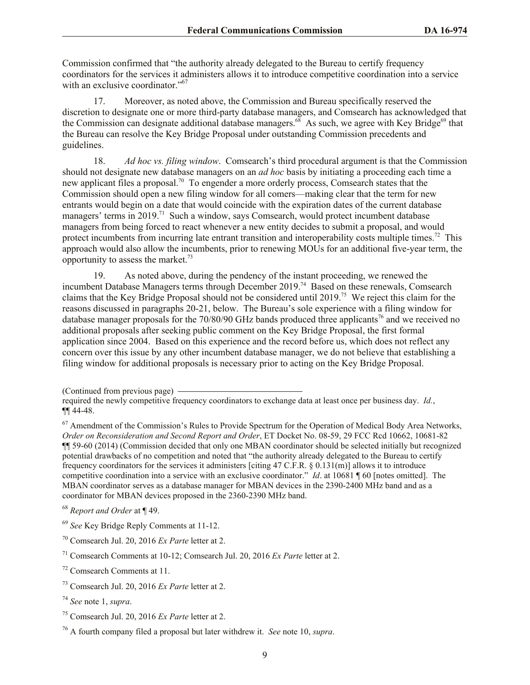Commission confirmed that "the authority already delegated to the Bureau to certify frequency coordinators for the services it administers allows it to introduce competitive coordination into a service with an exclusive coordinator."<sup>67</sup>

17. Moreover, as noted above, the Commission and Bureau specifically reserved the discretion to designate one or more third-party database managers, and Comsearch has acknowledged that the Commission can designate additional database managers.<sup>68</sup> As such, we agree with Key Bridge<sup>69</sup> that the Bureau can resolve the Key Bridge Proposal under outstanding Commission precedents and guidelines.

18. *Ad hoc vs. filing window*. Comsearch's third procedural argument is that the Commission should not designate new database managers on an *ad hoc* basis by initiating a proceeding each time a new applicant files a proposal.<sup>70</sup> To engender a more orderly process, Comsearch states that the Commission should open a new filing window for all comers—making clear that the term for new entrants would begin on a date that would coincide with the expiration dates of the current database managers' terms in 2019.<sup>71</sup> Such a window, says Comsearch, would protect incumbent database managers from being forced to react whenever a new entity decides to submit a proposal, and would protect incumbents from incurring late entrant transition and interoperability costs multiple times.<sup>72</sup> This approach would also allow the incumbents, prior to renewing MOUs for an additional five-year term, the opportunity to assess the market.<sup>73</sup>

19. As noted above, during the pendency of the instant proceeding, we renewed the incumbent Database Managers terms through December 2019.<sup>74</sup> Based on these renewals, Comsearch claims that the Key Bridge Proposal should not be considered until 2019.<sup>75</sup> We reject this claim for the reasons discussed in paragraphs 20-21, below. The Bureau's sole experience with a filing window for database manager proposals for the 70/80/90 GHz bands produced three applicants<sup>76</sup> and we received no additional proposals after seeking public comment on the Key Bridge Proposal, the first formal application since 2004. Based on this experience and the record before us, which does not reflect any concern over this issue by any other incumbent database manager, we do not believe that establishing a filing window for additional proposals is necessary prior to acting on the Key Bridge Proposal.

<sup>68</sup> *Report and Order* at ¶ 49.

- <sup>69</sup> *See* Key Bridge Reply Comments at 11-12.
- <sup>70</sup> Comsearch Jul. 20, 2016 *Ex Parte* letter at 2.

- <sup>72</sup> Comsearch Comments at 11.
- <sup>73</sup> Comsearch Jul. 20, 2016 *Ex Parte* letter at 2.

<sup>75</sup> Comsearch Jul. 20, 2016 *Ex Parte* letter at 2.

<sup>(</sup>Continued from previous page)

required the newly competitive frequency coordinators to exchange data at least once per business day. *Id.*, ¶¶ 44-48.

<sup>&</sup>lt;sup>67</sup> Amendment of the Commission's Rules to Provide Spectrum for the Operation of Medical Body Area Networks, *Order on Reconsideration and Second Report and Order*, ET Docket No. 08-59, 29 FCC Rcd 10662, 10681-82 ¶¶ 59-60 (2014) (Commission decided that only one MBAN coordinator should be selected initially but recognized potential drawbacks of no competition and noted that "the authority already delegated to the Bureau to certify frequency coordinators for the services it administers [citing 47 C.F.R. § 0.131(m)] allows it to introduce competitive coordination into a service with an exclusive coordinator." *Id*. at 10681 ¶ 60 [notes omitted]. The MBAN coordinator serves as a database manager for MBAN devices in the 2390-2400 MHz band and as a coordinator for MBAN devices proposed in the 2360-2390 MHz band.

<sup>71</sup> Comsearch Comments at 10-12; Comsearch Jul. 20, 2016 *Ex Parte* letter at 2.

<sup>74</sup> *See* note 1, *supra*.

<sup>76</sup> A fourth company filed a proposal but later withdrew it. *See* note 10, *supra*.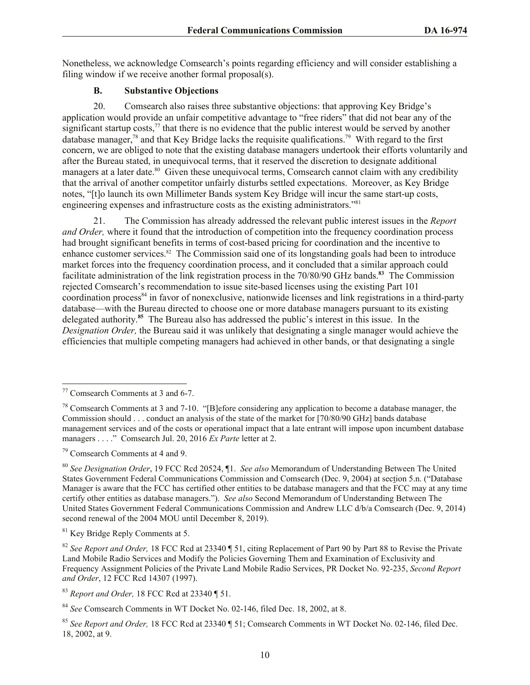Nonetheless, we acknowledge Comsearch's points regarding efficiency and will consider establishing a filing window if we receive another formal proposal(s).

# **B. Substantive Objections**

20. Comsearch also raises three substantive objections: that approving Key Bridge's application would provide an unfair competitive advantage to "free riders" that did not bear any of the significant startup costs, $\frac{7}{7}$  that there is no evidence that the public interest would be served by another database manager,<sup>78</sup> and that Key Bridge lacks the requisite qualifications.<sup>79</sup> With regard to the first concern, we are obliged to note that the existing database managers undertook their efforts voluntarily and after the Bureau stated, in unequivocal terms, that it reserved the discretion to designate additional managers at a later date.<sup>80</sup> Given these unequivocal terms, Comsearch cannot claim with any credibility that the arrival of another competitor unfairly disturbs settled expectations. Moreover, as Key Bridge notes, "[t]o launch its own Millimeter Bands system Key Bridge will incur the same start-up costs, engineering expenses and infrastructure costs as the existing administrators."<sup>81</sup>

21. The Commission has already addressed the relevant public interest issues in the *Report and Order,* where it found that the introduction of competition into the frequency coordination process had brought significant benefits in terms of cost-based pricing for coordination and the incentive to enhance customer services.<sup>82</sup> The Commission said one of its longstanding goals had been to introduce market forces into the frequency coordination process, and it concluded that a similar approach could facilitate administration of the link registration process in the 70/80/90 GHz bands. **83** The Commission rejected Comsearch's recommendation to issue site-based licenses using the existing Part 101 coordination process<sup>84</sup> in favor of nonexclusive, nationwide licenses and link registrations in a third-party database—with the Bureau directed to choose one or more database managers pursuant to its existing delegated authority. **85** The Bureau also has addressed the public's interest in this issue. In the *Designation Order,* the Bureau said it was unlikely that designating a single manager would achieve the efficiencies that multiple competing managers had achieved in other bands, or that designating a single

l

<sup>79</sup> Comsearch Comments at 4 and 9.

<sup>77</sup> Comsearch Comments at 3 and 6-7.

<sup>&</sup>lt;sup>78</sup> Comsearch Comments at 3 and 7-10. "[B]efore considering any application to become a database manager, the Commission should . . . conduct an analysis of the state of the market for [70/80/90 GHz] bands database management services and of the costs or operational impact that a late entrant will impose upon incumbent database managers . . . ." Comsearch Jul. 20, 2016 *Ex Parte* letter at 2.

<sup>80</sup> *See Designation Order*, 19 FCC Rcd 20524, ¶1. *See also* Memorandum of Understanding Between The United States Government Federal Communications Commission and Comsearch (Dec. 9, 2004) at section 5.n. ("Database Manager is aware that the FCC has certified other entities to be database managers and that the FCC may at any time certify other entities as database managers."). *See also* Second Memorandum of Understanding Between The United States Government Federal Communications Commission and Andrew LLC d/b/a Comsearch (Dec. 9, 2014) second renewal of the 2004 MOU until December 8, 2019).

<sup>81</sup> Key Bridge Reply Comments at 5.

<sup>82</sup> *See Report and Order,* 18 FCC Rcd at 23340 ¶ 51, citing Replacement of Part 90 by Part 88 to Revise the Private Land Mobile Radio Services and Modify the Policies Governing Them and Examination of Exclusivity and Frequency Assignment Policies of the Private Land Mobile Radio Services, PR Docket No. 92-235, *Second Report and Order*, 12 FCC Rcd 14307 (1997).

<sup>83</sup> *Report and Order,* 18 FCC Rcd at 23340 ¶ 51.

<sup>84</sup> *See* Comsearch Comments in WT Docket No. 02-146, filed Dec. 18, 2002, at 8.

<sup>85</sup> *See Report and Order,* 18 FCC Rcd at 23340 ¶ 51; Comsearch Comments in WT Docket No. 02-146, filed Dec. 18, 2002, at 9.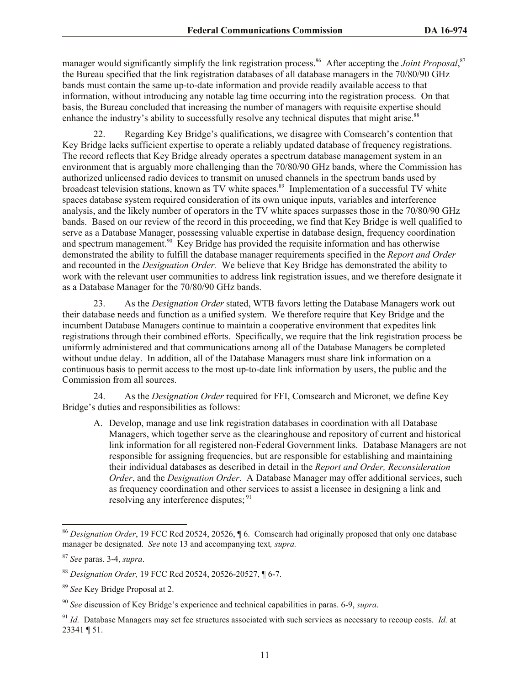manager would significantly simplify the link registration process.<sup>86</sup> After accepting the *Joint Proposal*,<sup>87</sup> the Bureau specified that the link registration databases of all database managers in the 70/80/90 GHz bands must contain the same up-to-date information and provide readily available access to that information, without introducing any notable lag time occurring into the registration process. On that basis, the Bureau concluded that increasing the number of managers with requisite expertise should enhance the industry's ability to successfully resolve any technical disputes that might arise.<sup>88</sup>

22. Regarding Key Bridge's qualifications, we disagree with Comsearch's contention that Key Bridge lacks sufficient expertise to operate a reliably updated database of frequency registrations. The record reflects that Key Bridge already operates a spectrum database management system in an environment that is arguably more challenging than the 70/80/90 GHz bands, where the Commission has authorized unlicensed radio devices to transmit on unused channels in the spectrum bands used by broadcast television stations, known as TV white spaces.<sup>89</sup> Implementation of a successful TV white spaces database system required consideration of its own unique inputs, variables and interference analysis, and the likely number of operators in the TV white spaces surpasses those in the 70/80/90 GHz bands. Based on our review of the record in this proceeding, we find that Key Bridge is well qualified to serve as a Database Manager, possessing valuable expertise in database design, frequency coordination and spectrum management.<sup>90</sup> Key Bridge has provided the requisite information and has otherwise demonstrated the ability to fulfill the database manager requirements specified in the *Report and Order* and recounted in the *Designation Order.* We believe that Key Bridge has demonstrated the ability to work with the relevant user communities to address link registration issues, and we therefore designate it as a Database Manager for the 70/80/90 GHz bands.

23. As the *Designation Order* stated, WTB favors letting the Database Managers work out their database needs and function as a unified system. We therefore require that Key Bridge and the incumbent Database Managers continue to maintain a cooperative environment that expedites link registrations through their combined efforts. Specifically, we require that the link registration process be uniformly administered and that communications among all of the Database Managers be completed without undue delay. In addition, all of the Database Managers must share link information on a continuous basis to permit access to the most up-to-date link information by users, the public and the Commission from all sources.

24. As the *Designation Order* required for FFI, Comsearch and Micronet, we define Key Bridge's duties and responsibilities as follows:

A. Develop, manage and use link registration databases in coordination with all Database Managers, which together serve as the clearinghouse and repository of current and historical link information for all registered non-Federal Government links. Database Managers are not responsible for assigning frequencies, but are responsible for establishing and maintaining their individual databases as described in detail in the *Report and Order, Reconsideration Order*, and the *Designation Order*. A Database Manager may offer additional services, such as frequency coordination and other services to assist a licensee in designing a link and resolving any interference disputes; <sup>91</sup>

l

<sup>86</sup> *Designation Order*, 19 FCC Rcd 20524, 20526, ¶ 6. Comsearch had originally proposed that only one database manager be designated. *See* note 13 and accompanying text*, supra.* 

<sup>87</sup> *See* paras. 3-4, *supra*.

<sup>88</sup> *Designation Order,* 19 FCC Rcd 20524, 20526-20527, ¶ 6-7.

<sup>89</sup> *See* Key Bridge Proposal at 2.

<sup>90</sup> *See* discussion of Key Bridge's experience and technical capabilities in paras. 6-9, *supra*.

<sup>91</sup> *Id.* Database Managers may set fee structures associated with such services as necessary to recoup costs. *Id.* at 23341 ¶ 51.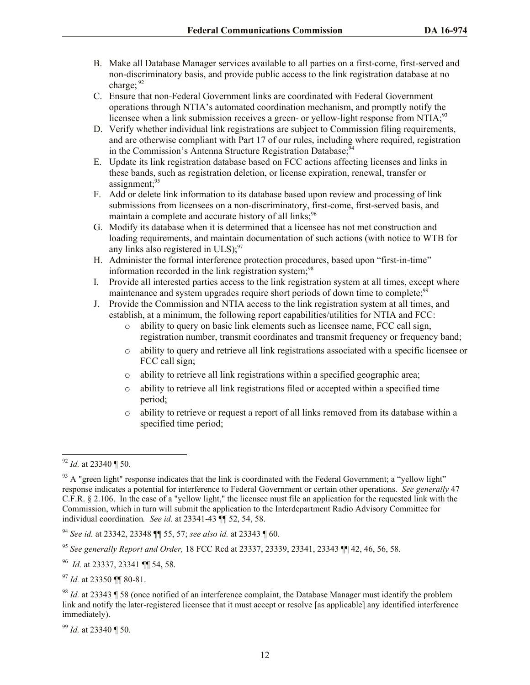- B. Make all Database Manager services available to all parties on a first-come, first-served and non-discriminatory basis, and provide public access to the link registration database at no charge:  $92$
- C. Ensure that non-Federal Government links are coordinated with Federal Government operations through NTIA's automated coordination mechanism, and promptly notify the licensee when a link submission receives a green- or yellow-light response from NTIA;<sup>93</sup>
- D. Verify whether individual link registrations are subject to Commission filing requirements, and are otherwise compliant with Part 17 of our rules, including where required, registration in the Commission's Antenna Structure Registration Database;  $\frac{54}{94}$
- E. Update its link registration database based on FCC actions affecting licenses and links in these bands, such as registration deletion, or license expiration, renewal, transfer or assignment; $^{95}$
- F. Add or delete link information to its database based upon review and processing of link submissions from licensees on a non-discriminatory, first-come, first-served basis, and maintain a complete and accurate history of all links;<sup>96</sup>
- G. Modify its database when it is determined that a licensee has not met construction and loading requirements, and maintain documentation of such actions (with notice to WTB for any links also registered in  $ULS$ );<sup>97</sup>
- H. Administer the formal interference protection procedures, based upon "first-in-time" information recorded in the link registration system; $98$
- I. Provide all interested parties access to the link registration system at all times, except where maintenance and system upgrades require short periods of down time to complete;<sup>99</sup>
- J. Provide the Commission and NTIA access to the link registration system at all times, and establish, at a minimum, the following report capabilities/utilities for NTIA and FCC:
	- o ability to query on basic link elements such as licensee name, FCC call sign, registration number, transmit coordinates and transmit frequency or frequency band;
	- o ability to query and retrieve all link registrations associated with a specific licensee or FCC call sign;
	- o ability to retrieve all link registrations within a specified geographic area;
	- o ability to retrieve all link registrations filed or accepted within a specified time period;
	- o ability to retrieve or request a report of all links removed from its database within a specified time period;

 $\overline{a}$ 

<sup>99</sup> *Id.* at 23340 ¶ 50.

<sup>92</sup> *Id.* at 23340 ¶ 50.

 $93$  A "green light" response indicates that the link is coordinated with the Federal Government; a "yellow light" response indicates a potential for interference to Federal Government or certain other operations. *See generally* 47 C.F.R. § 2.106. In the case of a "yellow light," the licensee must file an application for the requested link with the Commission, which in turn will submit the application to the Interdepartment Radio Advisory Committee for individual coordination*. See id.* at 23341-43 ¶¶ 52, 54, 58.

<sup>94</sup> *See id.* at 23342, 23348 ¶¶ 55, 57; *see also id.* at 23343 ¶ 60.

<sup>95</sup> *See generally Report and Order,* 18 FCC Rcd at 23337, 23339, 23341, 23343 ¶¶ 42, 46, 56, 58.

<sup>96</sup> *Id.* at 23337, 23341 ¶¶ 54, 58.

<sup>97</sup> *Id.* at 23350 ¶¶ 80-81.

<sup>98</sup> *Id.* at 23343 ¶ 58 (once notified of an interference complaint, the Database Manager must identify the problem link and notify the later-registered licensee that it must accept or resolve [as applicable] any identified interference immediately).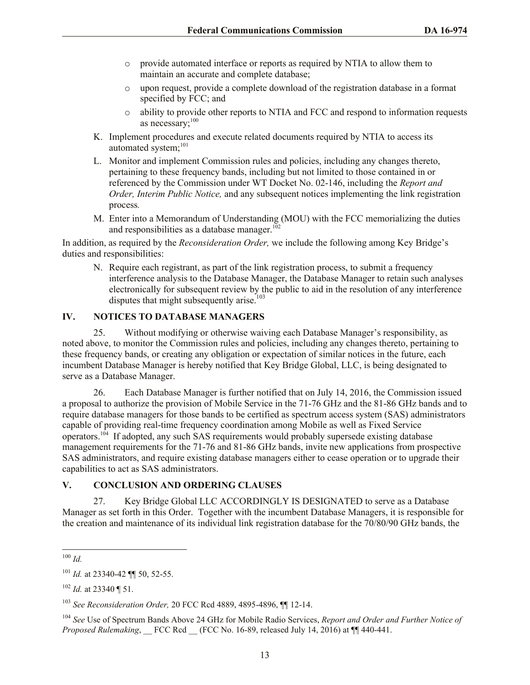- o provide automated interface or reports as required by NTIA to allow them to maintain an accurate and complete database;
- o upon request, provide a complete download of the registration database in a format specified by FCC; and
- o ability to provide other reports to NTIA and FCC and respond to information requests as necessary;<sup>100</sup>
- K. Implement procedures and execute related documents required by NTIA to access its automated system;<sup>101</sup>
- L. Monitor and implement Commission rules and policies, including any changes thereto, pertaining to these frequency bands, including but not limited to those contained in or referenced by the Commission under WT Docket No. 02-146, including the *Report and Order, Interim Public Notice,* and any subsequent notices implementing the link registration process*.*
- M. Enter into a Memorandum of Understanding (MOU) with the FCC memorializing the duties and responsibilities as a database manager.<sup>102</sup>

In addition, as required by the *Reconsideration Order,* we include the following among Key Bridge's duties and responsibilities:

N. Require each registrant, as part of the link registration process, to submit a frequency interference analysis to the Database Manager, the Database Manager to retain such analyses electronically for subsequent review by the public to aid in the resolution of any interference disputes that might subsequently arise.<sup>103</sup>

# **IV. NOTICES TO DATABASE MANAGERS**

25. Without modifying or otherwise waiving each Database Manager's responsibility, as noted above, to monitor the Commission rules and policies, including any changes thereto, pertaining to these frequency bands, or creating any obligation or expectation of similar notices in the future, each incumbent Database Manager is hereby notified that Key Bridge Global, LLC, is being designated to serve as a Database Manager.

26. Each Database Manager is further notified that on July 14, 2016, the Commission issued a proposal to authorize the provision of Mobile Service in the 71-76 GHz and the 81-86 GHz bands and to require database managers for those bands to be certified as spectrum access system (SAS) administrators capable of providing real-time frequency coordination among Mobile as well as Fixed Service operators.<sup>104</sup> If adopted, any such SAS requirements would probably supersede existing database management requirements for the 71-76 and 81-86 GHz bands, invite new applications from prospective SAS administrators, and require existing database managers either to cease operation or to upgrade their capabilities to act as SAS administrators.

# **V. CONCLUSION AND ORDERING CLAUSES**

27. Key Bridge Global LLC ACCORDINGLY IS DESIGNATED to serve as a Database Manager as set forth in this Order. Together with the incumbent Database Managers, it is responsible for the creation and maintenance of its individual link registration database for the 70/80/90 GHz bands, the

l <sup>100</sup> *Id.*

<sup>101</sup> *Id.* at 23340-42 ¶¶ 50, 52-55.

<sup>102</sup> *Id.* at 23340 ¶ 51.

<sup>103</sup> *See Reconsideration Order,* 20 FCC Rcd 4889, 4895-4896, ¶¶ 12-14.

<sup>104</sup> *See* Use of Spectrum Bands Above 24 GHz for Mobile Radio Services, *Report and Order and Further Notice of Proposed Rulemaking*, FCC Rcd (FCC No. 16-89, released July 14, 2016) at  $\P$  440-441.